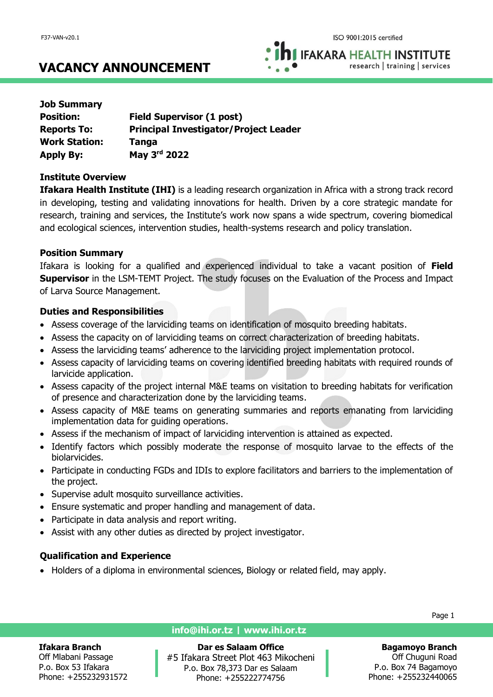**IFAKARA HEALTH INSTITUTE** research | training | services

## **VACANCY ANNOUNCEMENT**

| <b>Job Summary</b>   |                                              |
|----------------------|----------------------------------------------|
| <b>Position:</b>     | <b>Field Supervisor (1 post)</b>             |
| <b>Reports To:</b>   | <b>Principal Investigator/Project Leader</b> |
| <b>Work Station:</b> | <b>Tanga</b>                                 |
| <b>Apply By:</b>     | May 3rd 2022                                 |

## **Institute Overview**

**Ifakara Health Institute (IHI)** is a leading research organization in Africa with a strong track record in developing, testing and validating innovations for health. Driven by a core strategic mandate for research, training and services, the Institute's work now spans a wide spectrum, covering biomedical and ecological sciences, intervention studies, health-systems research and policy translation.

### **Position Summary**

Ifakara is looking for a qualified and experienced individual to take a vacant position of **Field Supervisor** in the LSM-TEMT Project. The study focuses on the Evaluation of the Process and Impact of Larva Source Management.

## **Duties and Responsibilities**

- Assess coverage of the larviciding teams on identification of mosquito breeding habitats.
- Assess the capacity on of larviciding teams on correct characterization of breeding habitats.
- Assess the larviciding teams' adherence to the larviciding project implementation protocol.
- Assess capacity of larviciding teams on covering identified breeding habitats with required rounds of larvicide application.
- Assess capacity of the project internal M&E teams on visitation to breeding habitats for verification of presence and characterization done by the larviciding teams.
- Assess capacity of M&E teams on generating summaries and reports emanating from larviciding implementation data for guiding operations.
- Assess if the mechanism of impact of larviciding intervention is attained as expected.
- Identify factors which possibly moderate the response of mosquito larvae to the effects of the biolarvicides.
- Participate in conducting FGDs and IDIs to explore facilitators and barriers to the implementation of the project.
- Supervise adult mosquito surveillance activities.
- Ensure systematic and proper handling and management of data.
- Participate in data analysis and report writing.
- Assist with any other duties as directed by project investigator.

## **Qualification and Experience**

• Holders of a diploma in environmental sciences, Biology or related field, may apply.

### **Ifakara Branch**

Off Mlabani Passage P.o. Box 53 Ifakara Phone: +255232931572

### **info@ihi.or.tz | www.ihi.or.tz**

**Dar es Salaam Office** #5 Ifakara Street Plot 463 Mikocheni P.o. Box 78,373 Dar es Salaam Phone: +255222774756

Page 1

#### **Bagamoyo Branch** Off Chuguni Road

P.o. Box 74 Bagamoyo Phone: +255232440065